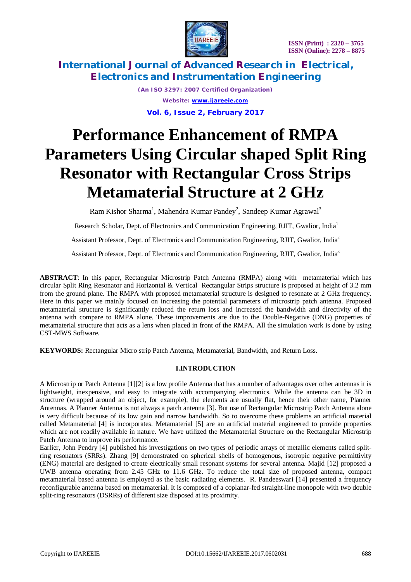

*(An ISO 3297: 2007 Certified Organization) Website: [www.ijareeie.com](http://www.ijareeie.com)* **Vol. 6, Issue 2, February 2017**

# **Performance Enhancement of RMPA Parameters Using Circular shaped Split Ring Resonator with Rectangular Cross Strips Metamaterial Structure at 2 GHz**

Ram Kishor Sharma<sup>1</sup>, Mahendra Kumar Pandey<sup>2</sup>, Sandeep Kumar Agrawal<sup>3</sup>

Research Scholar, Dept. of Electronics and Communication Engineering, RJIT, Gwalior, India<sup>1</sup>

Assistant Professor, Dept. of Electronics and Communication Engineering, RJIT, Gwalior, India<sup>2</sup>

Assistant Professor, Dept. of Electronics and Communication Engineering, RJIT, Gwalior, India<sup>3</sup>

**ABSTRACT**: In this paper, Rectangular Microstrip Patch Antenna (RMPA) along with metamaterial which has circular Split Ring Resonator and Horizontal & Vertical Rectangular Strips structure is proposed at height of 3.2 mm from the ground plane. The RMPA with proposed metamaterial structure is designed to resonate at 2 GHz frequency. Here in this paper we mainly focused on increasing the potential parameters of microstrip patch antenna. Proposed metamaterial structure is significantly reduced the return loss and increased the bandwidth and directivity of the antenna with compare to RMPA alone. These improvements are due to the Double-Negative (DNG) properties of metamaterial structure that acts as a lens when placed in front of the RMPA. All the simulation work is done by using CST-MWS Software.

**KEYWORDS:** Rectangular Micro strip Patch Antenna, Metamaterial, Bandwidth, and Return Loss.

## **I.INTRODUCTION**

A Microstrip or Patch Antenna [1][2] is a low profile Antenna that has a number of advantages over other antennas it is lightweight, inexpensive, and easy to integrate with accompanying electronics. While the antenna can be 3D in structure (wrapped around an object, for example), the elements are usually flat, hence their other name, Planner Antennas. A Planner Antenna is not always a patch antenna [3]. But use of Rectangular Microstrip Patch Antenna alone is very difficult because of its low gain and narrow bandwidth. So to overcome these problems an artificial material called Metamaterial [4] is incorporates. Metamaterial [5] are an artificial material engineered to provide properties which are not readily available in nature. We have utilized the Metamaterial Structure on the Rectangular Microstrip Patch Antenna to improve its performance.

Earlier, John Pendry [4] published his investigations on two types of periodic arrays of metallic elements called splitring resonators (SRRs). Zhang [9] demonstrated on spherical shells of homogenous, isotropic negative permittivity (ENG) material are designed to create electrically small resonant systems for several antenna. Majid [12] proposed a UWB antenna operating from 2.45 GHz to 11.6 GHz. To reduce the total size of proposed antenna, compact metamaterial based antenna is employed as the basic radiating elements. R. Pandeeswari [14] presented a frequency reconfigurable antenna based on metamaterial. It is composed of a coplanar-fed straight-line monopole with two double split-ring resonators (DSRRs) of different size disposed at its proximity.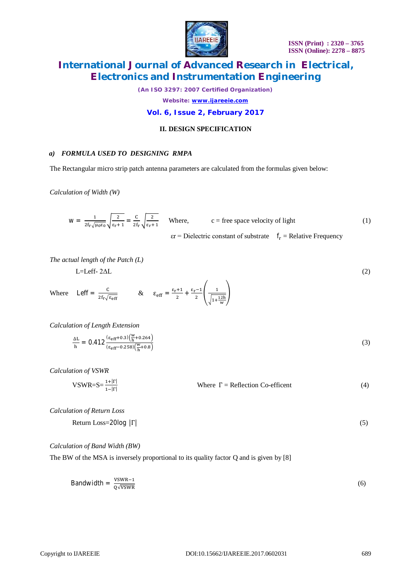

*(An ISO 3297: 2007 Certified Organization)*

*Website: [www.ijareeie.com](http://www.ijareeie.com)*

## **Vol. 6, Issue 2, February 2017**

## **II. DESIGN SPECIFICATION**

#### *a) FORMULA USED TO DESIGNING RMPA*

The Rectangular micro strip patch antenna parameters are calculated from the formulas given below:

*Calculation of Width (W)*

$$
W = \frac{1}{2f_r\sqrt{\mu_0 \epsilon_0}} \sqrt{\frac{2}{\epsilon_r + 1}} = \frac{C}{2f_r} \sqrt{\frac{2}{\epsilon_r + 1}}
$$
 Where,  $c$  = free space velocity of light  
  $\epsilon$  = Dielectric constant of substrate  $f_r$  = Relative Frequency

*The actual length of the Patch (L)*

 $L = Left- 2\Delta L$  (2)

Where 
$$
\text{Left} = \frac{C}{2f_r\sqrt{\epsilon_{eff}}}
$$
  $\& \epsilon_{eff} = \frac{\epsilon_r + 1}{2} + \frac{\epsilon_r - 1}{2} \left( \frac{1}{\sqrt{1 + \frac{12h}{w}}} \right)$ 

*Calculation of Length Extension*

$$
\frac{\Delta L}{h} = 0.412 \frac{(\varepsilon_{eff} + 0.3)(\frac{w}{h} + 0.264)}{(\varepsilon_{eff} - 0.258)(\frac{w}{h} + 0.8)}
$$
(3)

*Calculation of VSWR*

 $VSWR=S=\frac{1+|\Gamma|}{1-|\Gamma|}$ Where  $\Gamma$  = Reflection Co-efficent (4)

*Calculation of Return Loss*

Return Loss=20log |Γ| (5)

#### *Calculation of Band Width (BW)*

The BW of the MSA is inversely proportional to its quality factor Q and is given by [8]

$$
Bandwidth = \frac{VSWR - 1}{Q\sqrt{VSWR}}
$$
 (6)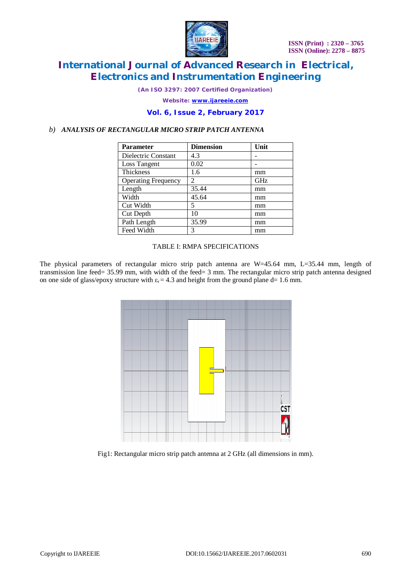

*(An ISO 3297: 2007 Certified Organization)*

*Website: [www.ijareeie.com](http://www.ijareeie.com)*

## **Vol. 6, Issue 2, February 2017**

## *b) ANALYSIS OF RECTANGULAR MICRO STRIP PATCH ANTENNA*

| <b>Parameter</b>           | <b>Dimension</b> | Unit |
|----------------------------|------------------|------|
| Dielectric Constant        | 4.3              |      |
| Loss Tangent               | 0.02             |      |
| <b>Thickness</b>           | 1.6              | mm   |
| <b>Operating Frequency</b> | 2                | GHz  |
| Length                     | 35.44            | mm   |
| Width                      | 45.64            | mm   |
| Cut Width                  | 5                | mm   |
| Cut Depth                  | 10               | mm   |
| Path Length                | 35.99            | mm   |
| Feed Width                 | 3                | mm   |

#### TABLE I: RMPA SPECIFICATIONS

The physical parameters of rectangular micro strip patch antenna are W=45.64 mm, L=35.44 mm, length of transmission line feed= 35.99 mm, with width of the feed= 3 mm. The rectangular micro strip patch antenna designed on one side of glass/epoxy structure with  $\varepsilon_r = 4.3$  and height from the ground plane d= 1.6 mm.



Fig1: Rectangular micro strip patch antenna at 2 GHz (all dimensions in mm).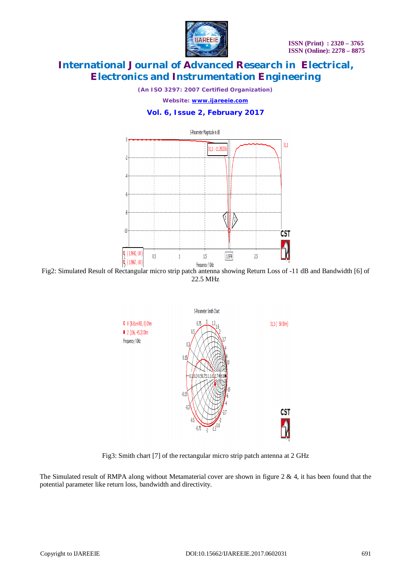

*(An ISO 3297: 2007 Certified Organization)*

*Website: [www.ijareeie.com](http://www.ijareeie.com)*

# **Vol. 6, Issue 2, February 2017**



Fig2: Simulated Result of Rectangular micro strip patch antenna showing Return Loss of -11 dB and Bandwidth [6] of 22.5 MHz



Fig3: Smith chart [7] of the rectangular micro strip patch antenna at 2 GHz

The Simulated result of RMPA along without Metamaterial cover are shown in figure 2 & 4, it has been found that the potential parameter like return loss, bandwidth and directivity.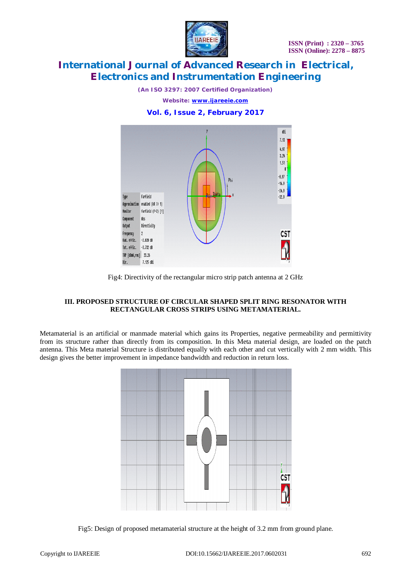

*(An ISO 3297: 2007 Certified Organization)*

*Website: [www.ijareeie.com](http://www.ijareeie.com)*

## **Vol. 6, Issue 2, February 2017**



Fig4: Directivity of the rectangular micro strip patch antenna at 2 GHz

## **III. PROPOSED STRUCTURE OF CIRCULAR SHAPED SPLIT RING RESONATOR WITH RECTANGULAR CROSS STRIPS USING METAMATERIAL.**

Metamaterial is an artificial or manmade material which gains its Properties, negative permeability and permittivity from its structure rather than directly from its composition. In this Meta material design, are loaded on the patch antenna. This Meta material Structure is distributed equally with each other and cut vertically with 2 mm width. This design gives the better improvement in impedance bandwidth and reduction in return loss.



Fig5: Design of proposed metamaterial structure at the height of 3.2 mm from ground plane.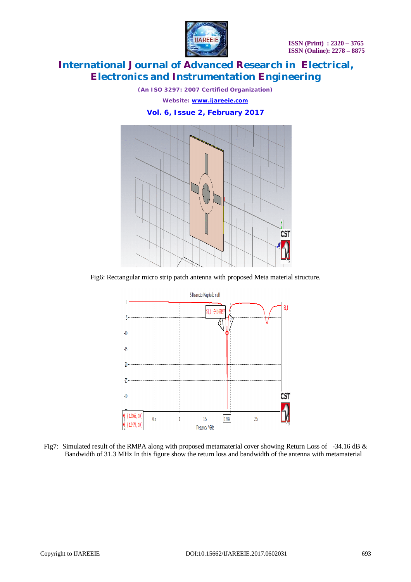

*(An ISO 3297: 2007 Certified Organization)*

*Website: [www.ijareeie.com](http://www.ijareeie.com)*

**Vol. 6, Issue 2, February 2017**



Fig6: Rectangular micro strip patch antenna with proposed Meta material structure.



Fig7: Simulated result of the RMPA along with proposed metamaterial cover showing Return Loss of -34.16 dB & Bandwidth of 31.3 MHz In this figure show the return loss and bandwidth of the antenna with metamaterial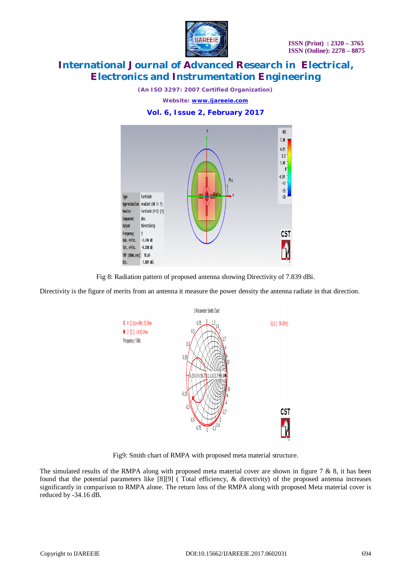

*(An ISO 3297: 2007 Certified Organization)*

*Website: [www.ijareeie.com](http://www.ijareeie.com)*

## **Vol. 6, Issue 2, February 2017**



Fig 8: Radiation pattern of proposed antenna showing Directivity of 7.839 dBi.

Directivity is the figure of merits from an antenna it measure the power density the antenna radiate in that direction.



Fig9: Smith chart of RMPA with proposed meta material structure.

The simulated results of the RMPA along with proposed meta material cover are shown in figure  $7 \& 8$ , it has been found that the potential parameters like [8][9] ( Total efficiency, & directivity) of the proposed antenna increases significantly in comparison to RMPA alone. The return loss of the RMPA along with proposed Meta material cover is reduced by -34.16 dB.